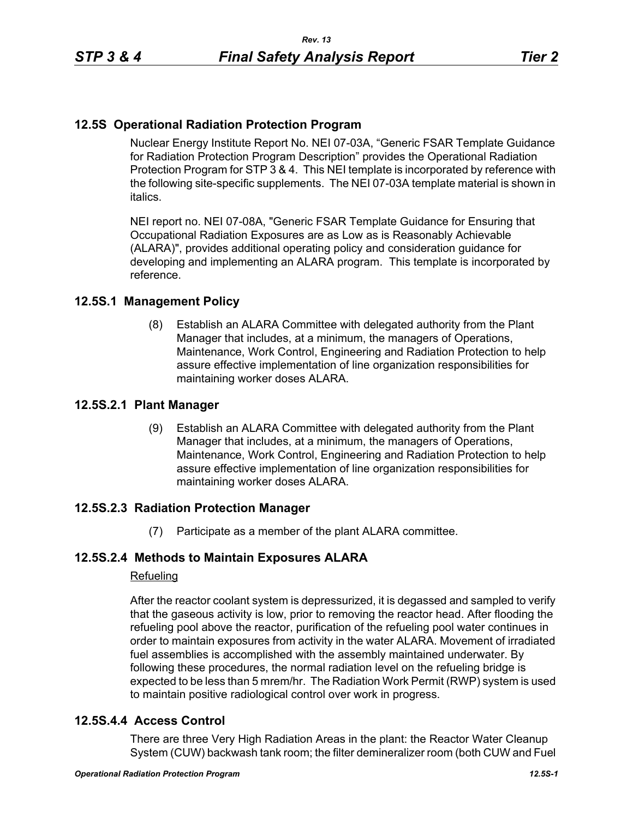# **12.5S Operational Radiation Protection Program**

Nuclear Energy Institute Report No. NEI 07-03A, "Generic FSAR Template Guidance for Radiation Protection Program Description" provides the Operational Radiation Protection Program for STP 3 & 4. This NEI template is incorporated by reference with the following site-specific supplements. The NEI 07-03A template material is shown in italics.

NEI report no. NEI 07-08A, "Generic FSAR Template Guidance for Ensuring that Occupational Radiation Exposures are as Low as is Reasonably Achievable (ALARA)", provides additional operating policy and consideration guidance for developing and implementing an ALARA program. This template is incorporated by reference.

## **12.5S.1 Management Policy**

(8) Establish an ALARA Committee with delegated authority from the Plant Manager that includes, at a minimum, the managers of Operations, Maintenance, Work Control, Engineering and Radiation Protection to help assure effective implementation of line organization responsibilities for maintaining worker doses ALARA.

#### **12.5S.2.1 Plant Manager**

(9) Establish an ALARA Committee with delegated authority from the Plant Manager that includes, at a minimum, the managers of Operations, Maintenance, Work Control, Engineering and Radiation Protection to help assure effective implementation of line organization responsibilities for maintaining worker doses ALARA.

## **12.5S.2.3 Radiation Protection Manager**

(7) Participate as a member of the plant ALARA committee.

## **12.5S.2.4 Methods to Maintain Exposures ALARA**

#### Refueling

After the reactor coolant system is depressurized, it is degassed and sampled to verify that the gaseous activity is low, prior to removing the reactor head. After flooding the refueling pool above the reactor, purification of the refueling pool water continues in order to maintain exposures from activity in the water ALARA. Movement of irradiated fuel assemblies is accomplished with the assembly maintained underwater. By following these procedures, the normal radiation level on the refueling bridge is expected to be less than 5 mrem/hr. The Radiation Work Permit (RWP) system is used to maintain positive radiological control over work in progress.

## **12.5S.4.4 Access Control**

There are three Very High Radiation Areas in the plant: the Reactor Water Cleanup System (CUW) backwash tank room; the filter demineralizer room (both CUW and Fuel